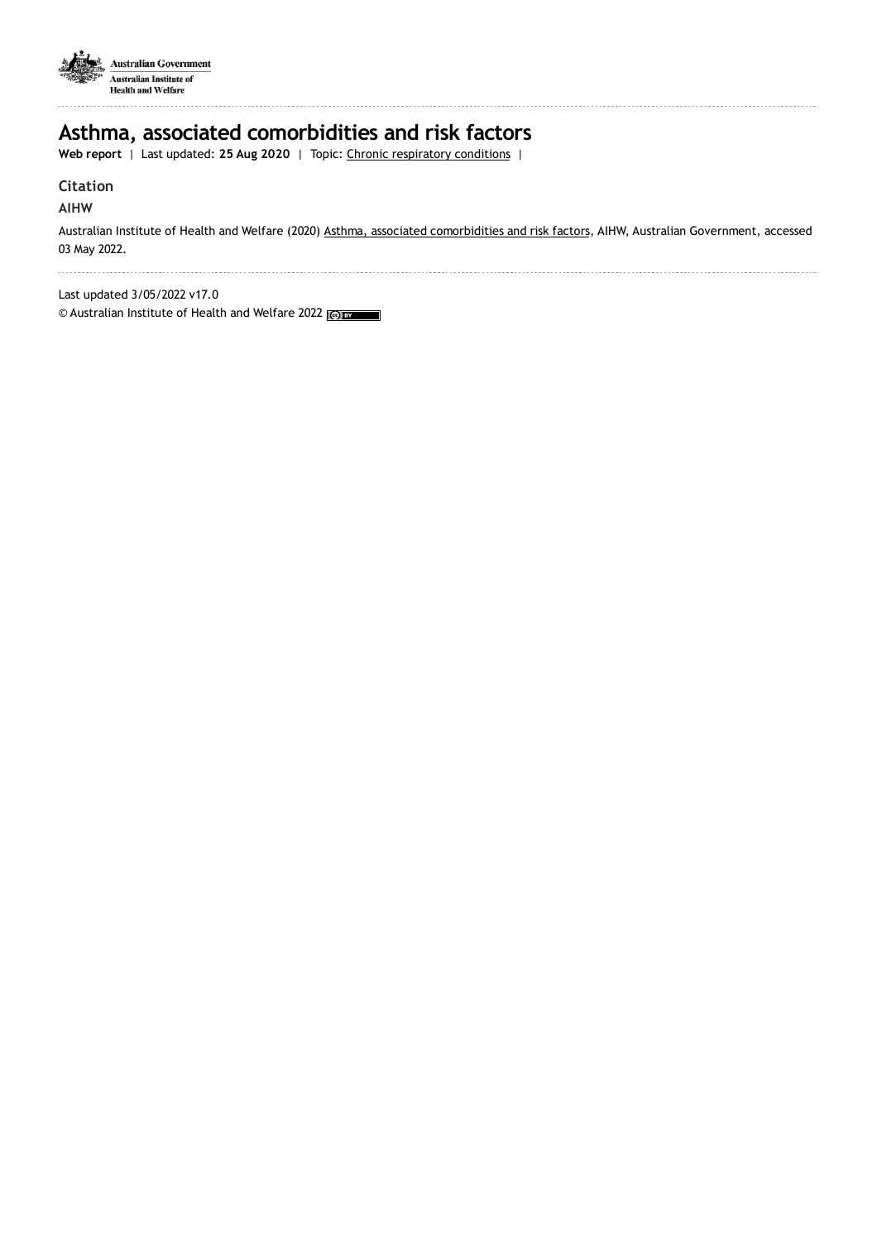

# **Asthma, associated comorbidities and risk factors**

**Web report** | Last updated: **25 Aug 2020** | Topic: Chronic [respiratory](https://www.aihw.gov.au/reports-data/health-conditions-disability-deaths/chronic-respiratory-conditions) conditions |

## **Citation**

## **AIHW**

Australian Institute of Health and Welfare (2020) Asthma, associated [comorbidities](https://www.aihw.gov.au/reports/chronic-respiratory-conditions/asthma-associated-comorbidities-risk-factors) and risk factors, AIHW, Australian Government, accessed 03 May 2022.

. . . . . . . . . . . . . . . 

Last updated 3/05/2022 v17.0

© Australian Institute of Health and Welfare 2022 (@)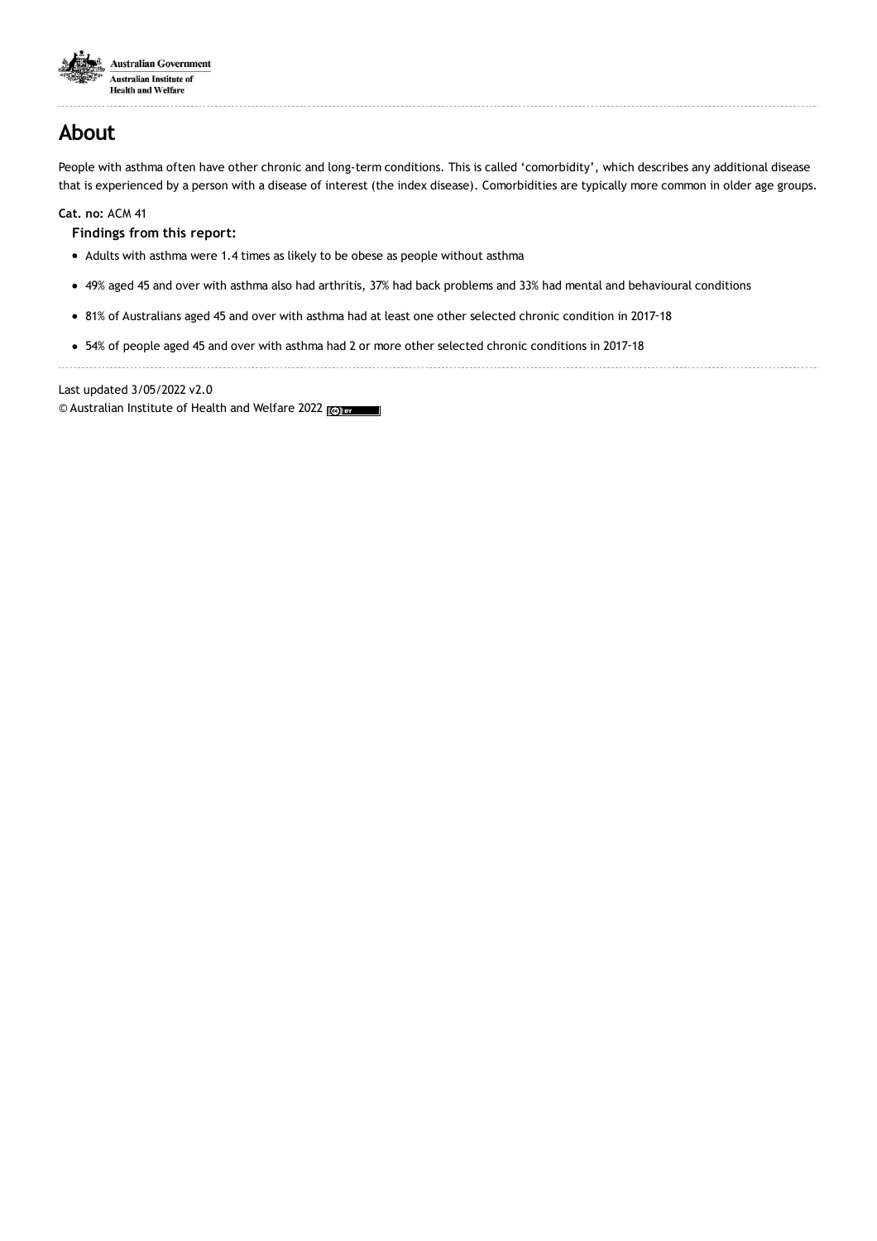

# **About**

People with asthma often have other chronic and long-term conditions. This is called 'comorbidity', which describes any additional disease that is experienced by a person with a disease of interest (the index disease). Comorbidities are typically more common in older age groups.

**Cat. no:** ACM 41

**Findings from this report:**

- Adults with asthma were 1.4 times as likely to be obese as people without asthma
- 49% aged 45 and over with asthma also had arthritis, 37% had back problems and 33% had mental and behavioural conditions
- 81% of Australians aged 45 and over with asthma had at least one other selected chronic condition in 2017‑18
- 54% of people aged 45 and over with asthma had 2 or more other selected chronic conditions in 2017‑18

Last updated 3/05/2022 v2.0

© Australian Institute of Health and Welfare 2022 (@)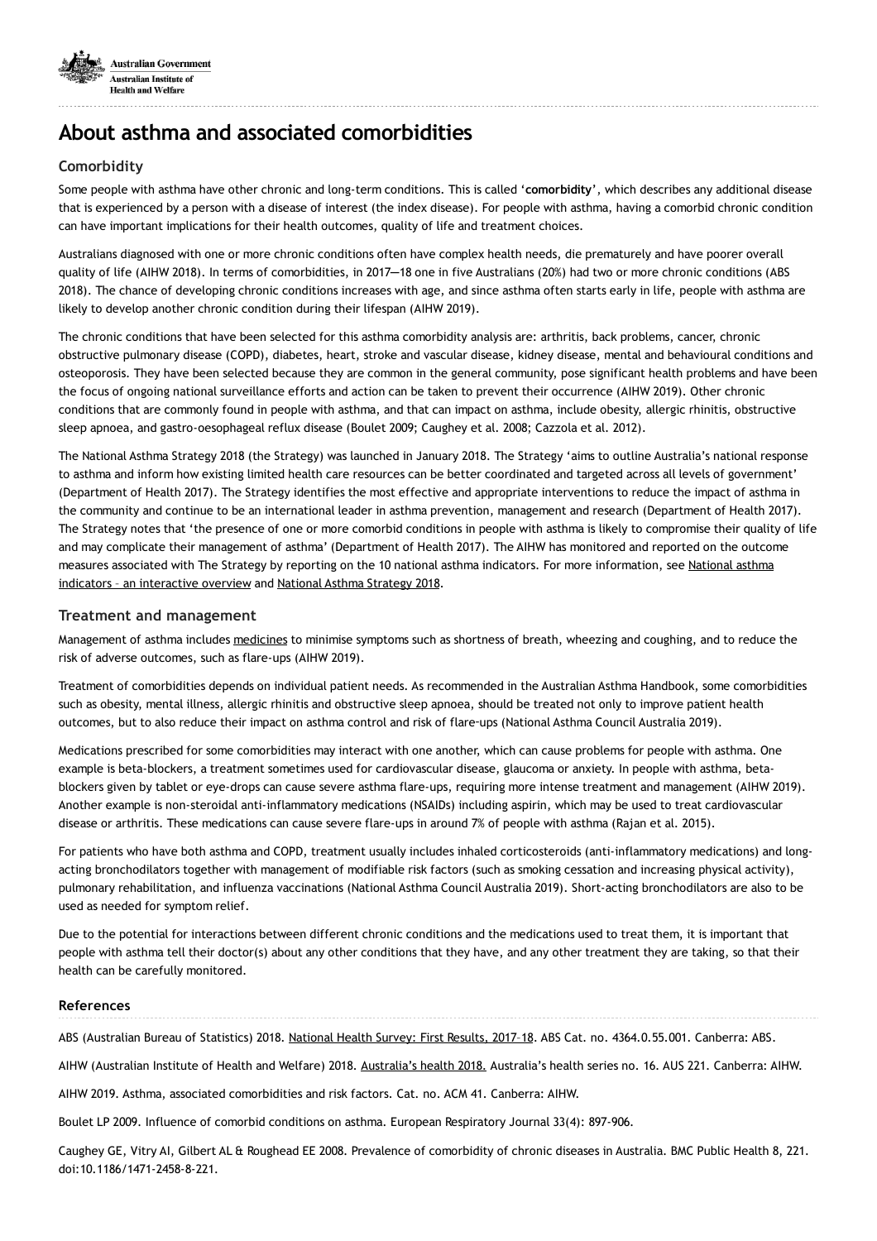

# **About asthma and associated comorbidities**

## **Comorbidity**

Some people with asthma have other chronic and long-term conditions. This is called '**comorbidity**', which describes any additional disease that is experienced by a person with a disease of interest (the index disease). For people with asthma, having a comorbid chronic condition can have important implications for their health outcomes, quality of life and treatment choices.

Australians diagnosed with one or more chronic conditions often have complex health needs, die prematurely and have poorer overall quality of life (AIHW 2018). In terms of comorbidities, in 2017─18 one in five Australians (20%) had two or more chronic conditions (ABS 2018). The chance of developing chronic conditions increases with age, and since asthma often starts early in life, people with asthma are likely to develop another chronic condition during their lifespan (AIHW 2019).

The chronic conditions that have been selected for this asthma comorbidity analysis are: arthritis, back problems, cancer, chronic obstructive pulmonary disease (COPD), diabetes, heart, stroke and vascular disease, kidney disease, mental and behavioural conditions and osteoporosis. They have been selected because they are common in the general community, pose significant health problems and have been the focus of ongoing national surveillance efforts and action can be taken to prevent their occurrence (AIHW 2019). Other chronic conditions that are commonly found in people with asthma, and that can impact on asthma, include obesity, allergic rhinitis, obstructive sleep apnoea, and gastro-oesophageal reflux disease (Boulet 2009; Caughey et al. 2008; Cazzola et al. 2012).

The National Asthma Strategy 2018 (the Strategy) was launched in January 2018. The Strategy 'aims to outline Australia's national response to asthma and inform how existing limited health care resources can be better coordinated and targeted across all levels of government' (Department of Health 2017). The Strategy identifies the most effective and appropriate interventions to reduce the impact of asthma in the community and continue to be an international leader in asthma prevention, management and research (Department of Health 2017). The Strategy notes that 'the presence of one or more comorbid conditions in people with asthma is likely to compromise their quality of life and may complicate their management of asthma' (Department of Health 2017). The AIHW has monitored and reported on the outcome measures associated with The Strategy by reporting on the 10 national asthma indicators. For more [information,](https://www.aihw.gov.au/reports/chronic-respiratory-conditions/asthma-monitoring-based-on-current-indicators/) see National asthma indicators - an interactive overview and National Asthma [Strategy](https://www.health.gov.au/resources/publications/national-asthma-strategy-2018) 2018.

## **Treatment and management**

Management of asthma includes [medicines](https://www.aihw.gov.au/reports/chronic-respiratory-conditions/asthma/) to minimise symptoms such as shortness of breath, wheezing and coughing, and to reduce the risk of adverse outcomes, such as flare-ups (AIHW 2019).

Treatment of comorbidities depends on individual patient needs. As recommended in the Australian Asthma Handbook, some comorbidities such as obesity, mental illness, allergic rhinitis and obstructive sleep apnoea, should be treated not only to improve patient health outcomes, but to also reduce their impact on asthma control and risk of flare‑ups (National Asthma Council Australia 2019).

Medications prescribed for some comorbidities may interact with one another, which can cause problems for people with asthma. One example is beta-blockers, a treatment sometimes used for cardiovascular disease, glaucoma or anxiety. In people with asthma, betablockers given by tablet or eye-drops can cause severe asthma flare-ups, requiring more intense treatment and management (AIHW 2019). Another example is non-steroidal anti-inflammatory medications (NSAIDs) including aspirin, which may be used to treat cardiovascular disease or arthritis. These medications can cause severe flare-ups in around 7% of people with asthma (Rajan et al. 2015).

For patients who have both asthma and COPD, treatment usually includes inhaled corticosteroids (anti-inflammatory medications) and longacting bronchodilators together with management of modifiable risk factors (such as smoking cessation and increasing physical activity), pulmonary rehabilitation, and influenza vaccinations (National Asthma Council Australia 2019). Short-acting bronchodilators are also to be used as needed for symptom relief.

Due to the potential for interactions between different chronic conditions and the medications used to treat them, it is important that people with asthma tell their doctor(s) about any other conditions that they have, and any other treatment they are taking, so that their health can be carefully monitored.

## **References**

ABS (Australian Bureau of Statistics) 2018. [National](https://www.abs.gov.au/ausstats/abs@.nsf/Lookup/by Subject/4364.0.55.001~2017-18~Media Release~How healthy is the typical Australian%3F (Media Release)~1) Health Survey: First Results, 2017-18. ABS Cat. no. 4364.0.55.001. Canberra: ABS.

AIHW (Australian Institute of Health and Welfare) 2018. [Australia's](https://www.aihw.gov.au/reports/australias-health/australias-health-2018/) health 2018. Australia's health series no. 16. AUS 221. Canberra: AIHW.

AIHW 2019. Asthma, associated comorbidities and risk factors. Cat. no. ACM 41. Canberra: AIHW.

Boulet LP 2009. Influence of comorbid conditions on asthma. European Respiratory Journal 33(4): 897-906.

Caughey GE, Vitry AI, Gilbert AL & Roughead EE 2008. Prevalence of comorbidity of chronic diseases in Australia. BMC Public Health 8, 221. doi:10.1186/1471-2458-8-221.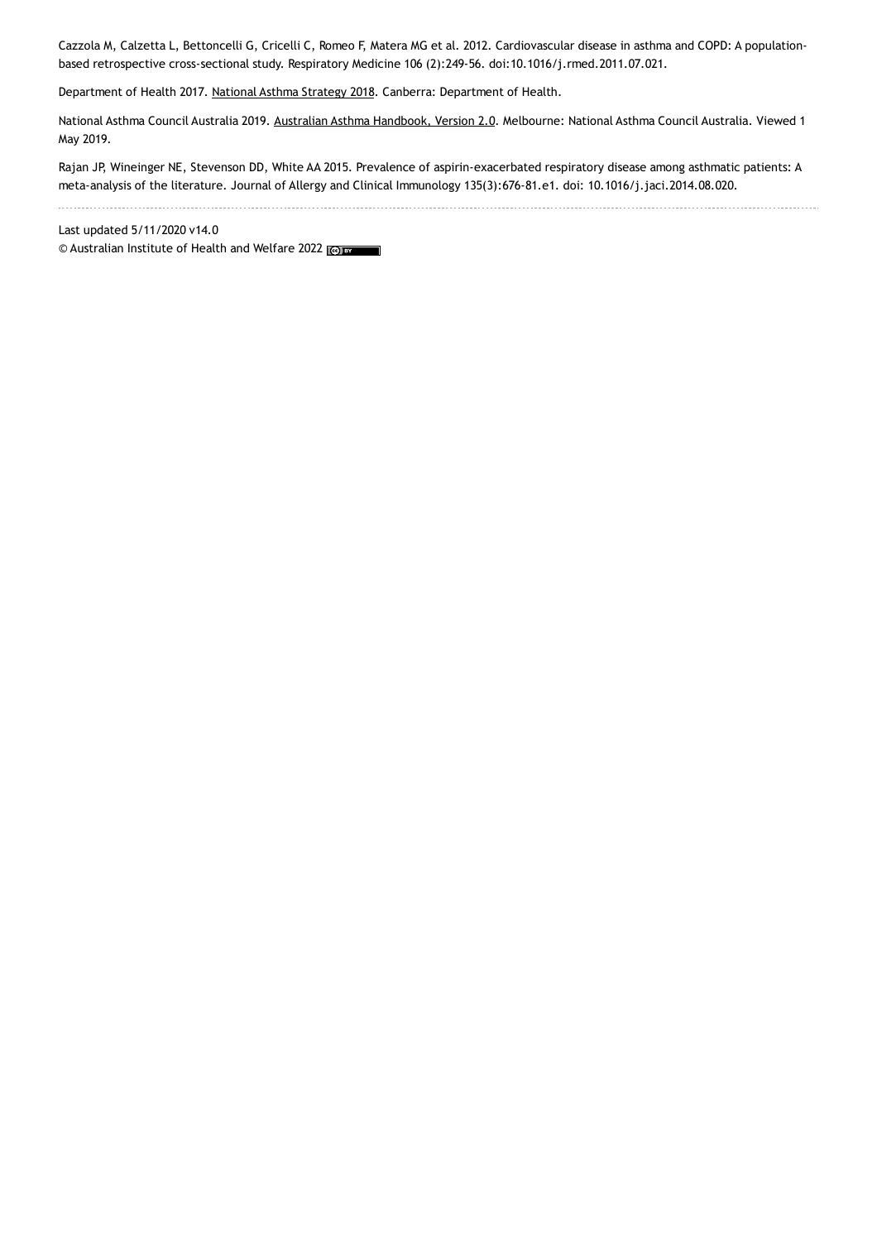Cazzola M, Calzetta L, Bettoncelli G, Cricelli C, Romeo F, Matera MG et al. 2012. Cardiovascular disease in asthma and COPD: A populationbased retrospective cross-sectional study. Respiratory Medicine 106 (2):249-56. doi:10.1016/j.rmed.2011.07.021.

Department of Health 2017. National Asthma [Strategy](https://www.health.gov.au/resources/publications/national-asthma-strategy-2018) 2018. Canberra: Department of Health.

National Asthma Council Australia 2019. Australian Asthma [Handbook,](https://www.asthmahandbook.org.au/) Version 2.0. Melbourne: National Asthma Council Australia. Viewed 1 May 2019.

Rajan JP, Wineinger NE, Stevenson DD, White AA 2015. Prevalence of aspirin-exacerbated respiratory disease among asthmatic patients: A meta-analysis of the literature. Journal of Allergy and Clinical Immunology 135(3):676-81.e1. doi: 10.1016/j.jaci.2014.08.020.

Last updated 5/11/2020 v14.0 © Australian Institute of Health and Welfare 2022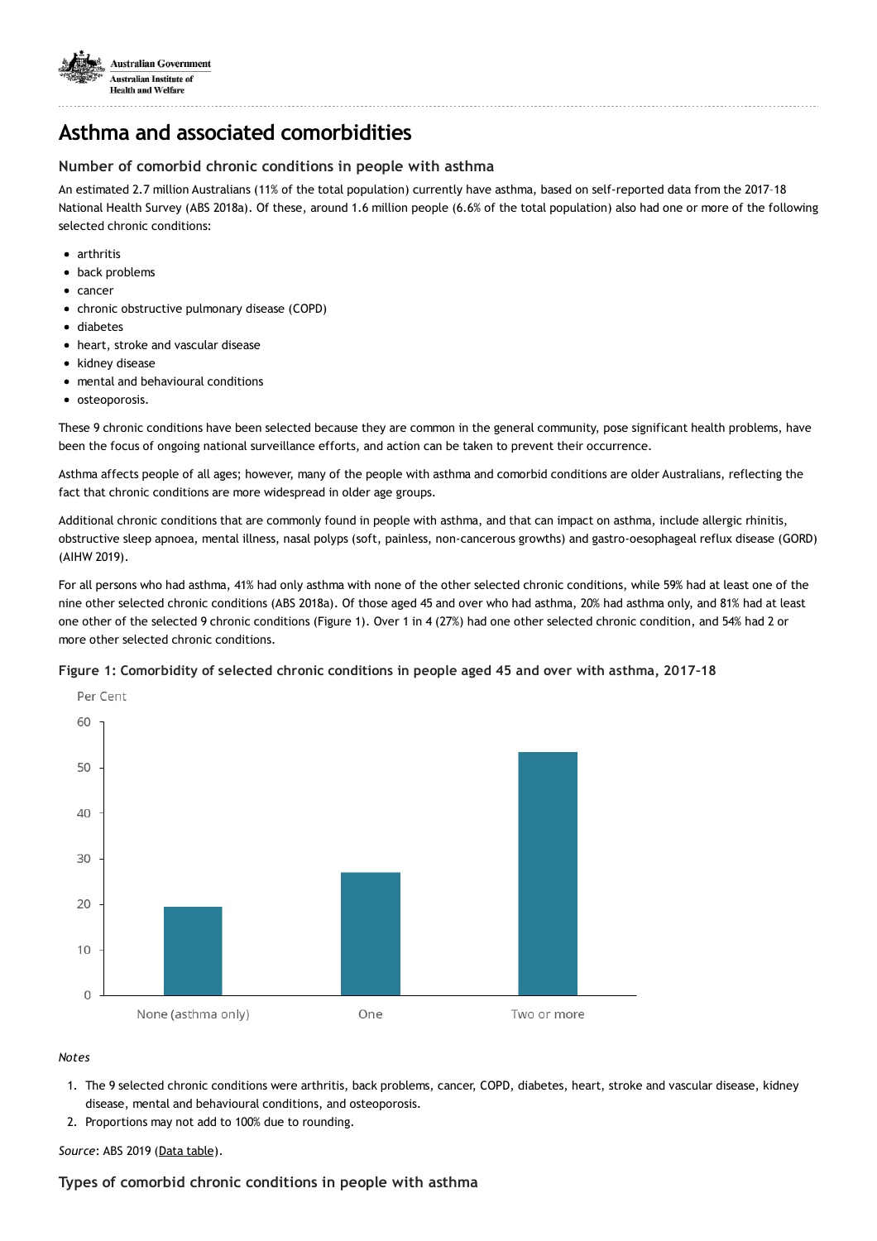

## **Asthma and associated comorbidities**

## **Number of comorbid chronic conditions in people with asthma**

An estimated 2.7 million Australians (11% of the total population) currently have asthma, based on self-reported data from the 2017–18 National Health Survey (ABS 2018a). Of these, around 1.6 million people (6.6% of the total population) also had one or more of the following selected chronic conditions:

- arthritis
- back problems
- cancer
- chronic obstructive pulmonary disease (COPD)
- diabetes
- heart, stroke and vascular disease
- kidney disease
- mental and behavioural conditions
- osteoporosis.

These 9 chronic conditions have been selected because they are common in the general community, pose significant health problems, have been the focus of ongoing national surveillance efforts, and action can be taken to prevent their occurrence.

Asthma affects people of all ages; however, many of the people with asthma and comorbid conditions are older Australians, reflecting the fact that chronic conditions are more widespread in older age groups.

Additional chronic conditions that are commonly found in people with asthma, and that can impact on asthma, include allergic rhinitis, obstructive sleep apnoea, mental illness, nasal polyps (soft, painless, non-cancerous growths) and gastro-oesophageal reflux disease (GORD) (AIHW 2019).

For all persons who had asthma, 41% had only asthma with none of the other selected chronic conditions, while 59% had at least one of the nine other selected chronic conditions (ABS 2018a). Of those aged 45 and over who had asthma, 20% had asthma only, and 81% had at least one other of the selected 9 chronic conditions (Figure 1). Over 1 in 4 (27%) had one other selected chronic condition, and 54% had 2 or more other selected chronic conditions.

## **Figure 1: Comorbidity of selected chronic conditions in people aged 45 and over with asthma, 2017–18**



#### *Notes*

- 1. The 9 selected chronic conditions were arthritis, back problems, cancer, COPD, diabetes, heart, stroke and vascular disease, kidney disease, mental and behavioural conditions, and osteoporosis.
- 2. Proportions may not add to 100% due to rounding.

## *Source*: ABS 2019 (Data [table](https://www.aihw.gov.au/reports/chronic-respiratory-conditions/asthma-associated-comorbidities-risk-factors/data)).

## **Types of comorbid chronic conditions in people with asthma**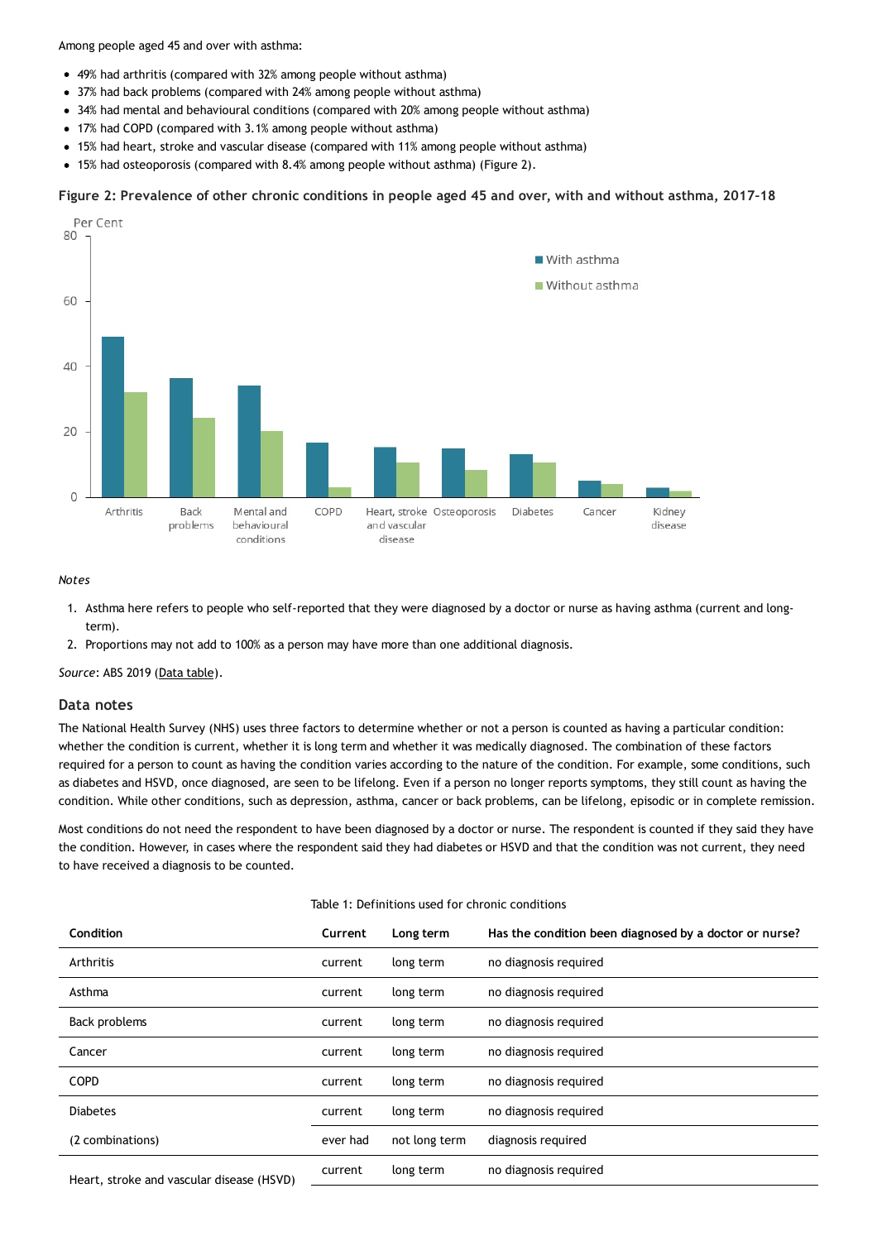Among people aged 45 and over with asthma:

- 49% had arthritis (compared with 32% among people without asthma)
- 37% had back problems (compared with 24% among people without asthma)
- 34% had mental and behavioural conditions (compared with 20% among people without asthma)
- 17% had COPD (compared with 3.1% among people without asthma)
- 15% had heart, stroke and vascular disease (compared with 11% among people without asthma)
- 15% had osteoporosis (compared with 8.4% among people without asthma) (Figure 2).

#### Figure 2: Prevalence of other chronic conditions in people aged 45 and over, with and without asthma, 2017-18



#### *Notes*

- 1. Asthma here refers to people who self-reported that they were diagnosed by a doctor or nurse as having asthma (current and longterm).
- 2. Proportions may not add to 100% as a person may have more than one additional diagnosis.

*Source*: ABS 2019 (Data [table](https://www.aihw.gov.au/reports/chronic-respiratory-conditions/asthma-associated-comorbidities-risk-factors/data/)).

#### **Data notes**

The National Health Survey (NHS) uses three factors to determine whether or not a person is counted as having a particular condition: whether the condition is current, whether it is long term and whether it was medically diagnosed. The combination of these factors required for a person to count as having the condition varies according to the nature of the condition. For example, some conditions, such as diabetes and HSVD, once diagnosed, are seen to be lifelong. Even if a person no longer reports symptoms, they still count as having the condition. While other conditions, such as depression, asthma, cancer or back problems, can be lifelong, episodic or in complete remission.

Most conditions do not need the respondent to have been diagnosed by a doctor or nurse. The respondent is counted if they said they have the condition. However, in cases where the respondent said they had diabetes or HSVD and that the condition was not current, they need to have received a diagnosis to be counted.

| Table 1: Definitions used for chronic conditions |          |               |                                                        |  |
|--------------------------------------------------|----------|---------------|--------------------------------------------------------|--|
| <b>Condition</b>                                 | Current  | Long term     | Has the condition been diagnosed by a doctor or nurse? |  |
| Arthritis                                        | current  | long term     | no diagnosis required                                  |  |
| Asthma                                           | current  | long term     | no diagnosis required                                  |  |
| Back problems                                    | current  | long term     | no diagnosis required                                  |  |
| Cancer                                           | current  | long term     | no diagnosis required                                  |  |
| <b>COPD</b>                                      | current  | long term     | no diagnosis required                                  |  |
| <b>Diabetes</b>                                  | current  | long term     | no diagnosis required                                  |  |
| (2 combinations)                                 | ever had | not long term | diagnosis required                                     |  |
| Heart, stroke and vascular disease (HSVD)        | current  | long term     | no diagnosis required                                  |  |
|                                                  |          |               |                                                        |  |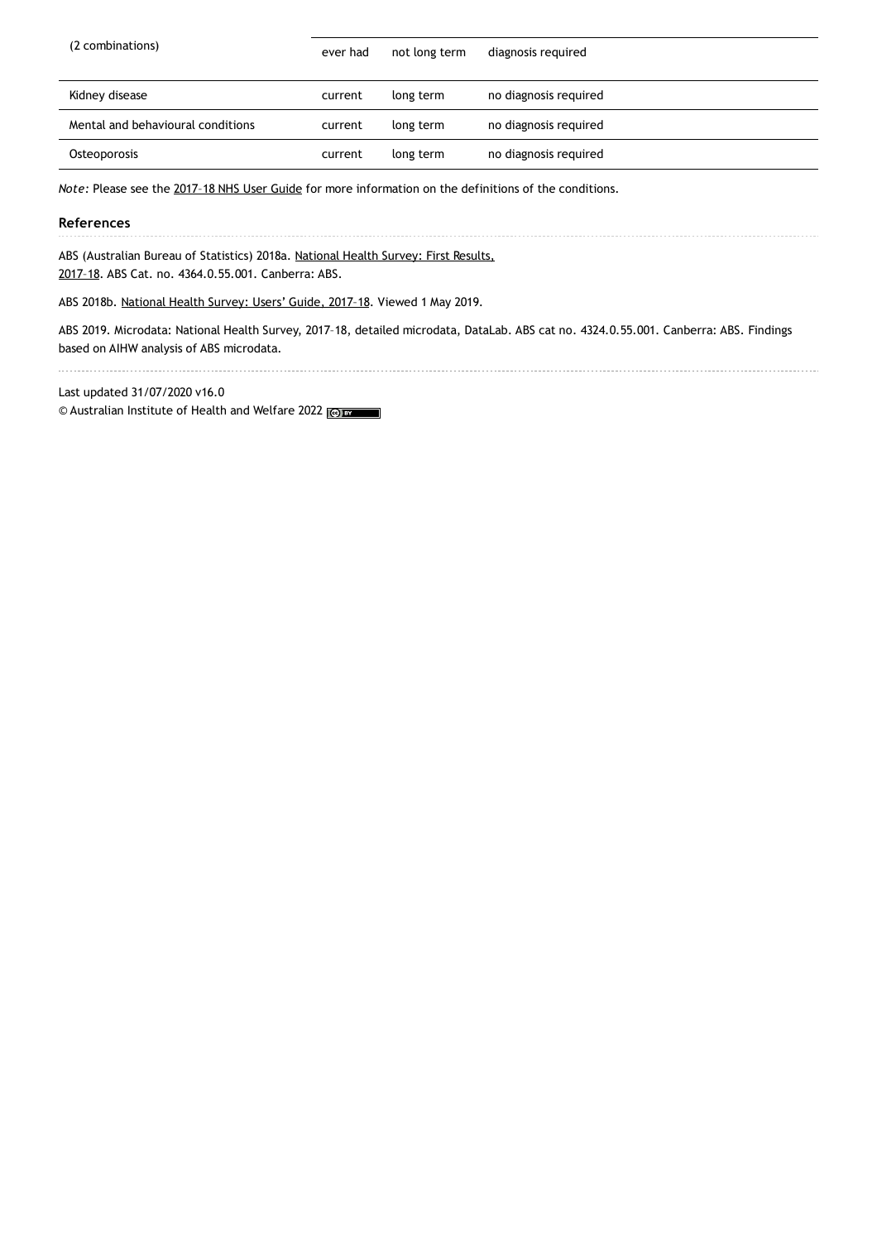| (2 combinations)                  | ever had | not long term | diagnosis required    |
|-----------------------------------|----------|---------------|-----------------------|
| Kidney disease                    | current  | long term     | no diagnosis required |
| Mental and behavioural conditions | current  | long term     | no diagnosis required |
| Osteoporosis                      | current  | long term     | no diagnosis required |

*Note:* Please see the [2017–18](https://www.abs.gov.au/ausstats/abs@.nsf/Lookup/by Subject/4363.0~2017-18~Main Features~Health conditions~4) NHS User Guide for more information on the definitions of the conditions.

#### **References**

ABS (Australian Bureau of Statistics) 2018a. National Health Survey: First Results,

2017–18. ABS Cat. no. 4364.0.55.001. Canberra: ABS.

ABS 2018b. [National](https://www.abs.gov.au/AUSSTATS/abs@.nsf/DetailsPage/4363.02017-18?OpenDocument) Health Survey: Users' Guide, 2017–18. Viewed 1 May 2019.

ABS 2019. Microdata: National Health Survey, 2017–18, detailed microdata, DataLab. ABS cat no. 4324.0.55.001. Canberra: ABS. Findings based on AIHW analysis of ABS microdata.

Last updated 31/07/2020 v16.0 © Australian Institute of Health and Welfare 2022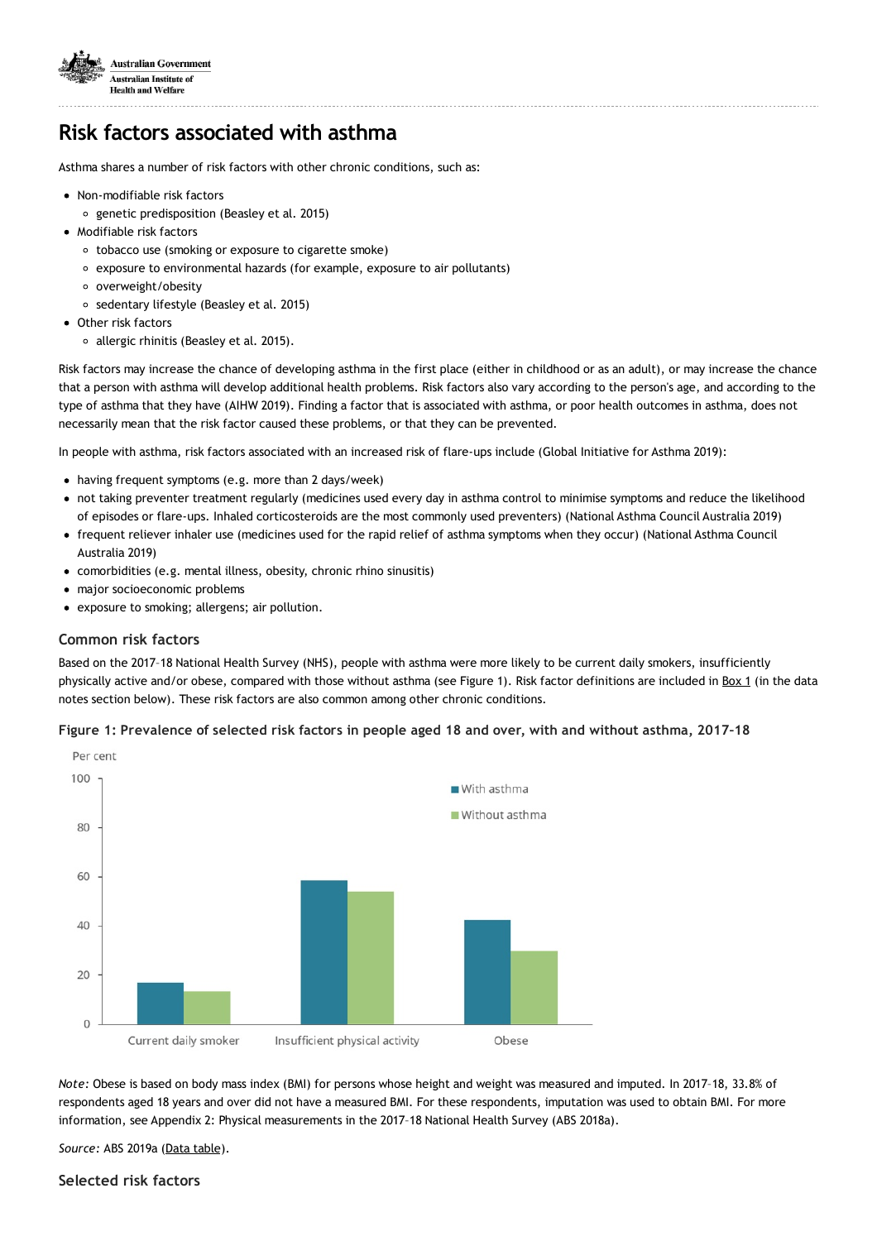

# **Risk factors associated with asthma**

Asthma shares a number of risk factors with other chronic conditions, such as:

- Non-modifiable risk factors
	- genetic predisposition (Beasley et al. 2015)
- Modifiable risk factors
	- tobacco use (smoking or exposure to cigarette smoke)
	- exposure to environmental hazards (for example, exposure to air pollutants)
	- o overweight/obesity
	- o sedentary lifestyle (Beasley et al. 2015)
- Other risk factors
	- o allergic rhinitis (Beasley et al. 2015).

Risk factors may increase the chance of developing asthma in the first place (either in childhood or as an adult), or may increase the chance that a person with asthma will develop additional health problems. Risk factors also vary according to the person's age, and according to the type of asthma that they have (AIHW 2019). Finding a factor that is associated with asthma, or poor health outcomes in asthma, does not necessarily mean that the risk factor caused these problems, or that they can be prevented.

In people with asthma, risk factors associated with an increased risk of flare-ups include (Global Initiative for Asthma 2019):

- having frequent symptoms (e.g. more than 2 days/week)
- not taking preventer treatment regularly (medicines used every day in asthma control to minimise symptoms and reduce the likelihood of episodes or flare-ups. Inhaled corticosteroids are the most commonly used preventers) (National Asthma Council Australia 2019)
- frequent reliever inhaler use (medicines used for the rapid relief of asthma symptoms when they occur) (National Asthma Council Australia 2019)
- comorbidities (e.g. mental illness, obesity, chronic rhino sinusitis)
- major socioeconomic problems
- exposure to smoking; allergens; air pollution.

#### **Common risk factors**

Based on the 2017–18 National Health Survey (NHS), people with asthma were more likely to be current daily smokers, insufficiently physically active and/or obese, compared with those without asthma (see Figure 1). Risk factor definitions are included in [Box](#page-10-0) 1 (in the data notes section below). These risk factors are also common among other chronic conditions.



Figure 1: Prevalence of selected risk factors in people aged 18 and over, with and without asthma, 2017-18

*Note:* Obese is based on body mass index (BMI) for persons whose height and weight was measured and imputed. In 2017–18, 33.8% of respondents aged 18 years and over did not have a measured BMI. For these respondents, imputation was used to obtain BMI. For more information, see Appendix 2: Physical measurements in the 2017–18 National Health Survey (ABS 2018a).

*Source:* ABS 2019a (Data [table\)](https://www.aihw.gov.au/reports/chronic-respiratory-conditions/asthma-associated-comorbidities-risk-factors/data/).

### **Selected risk factors**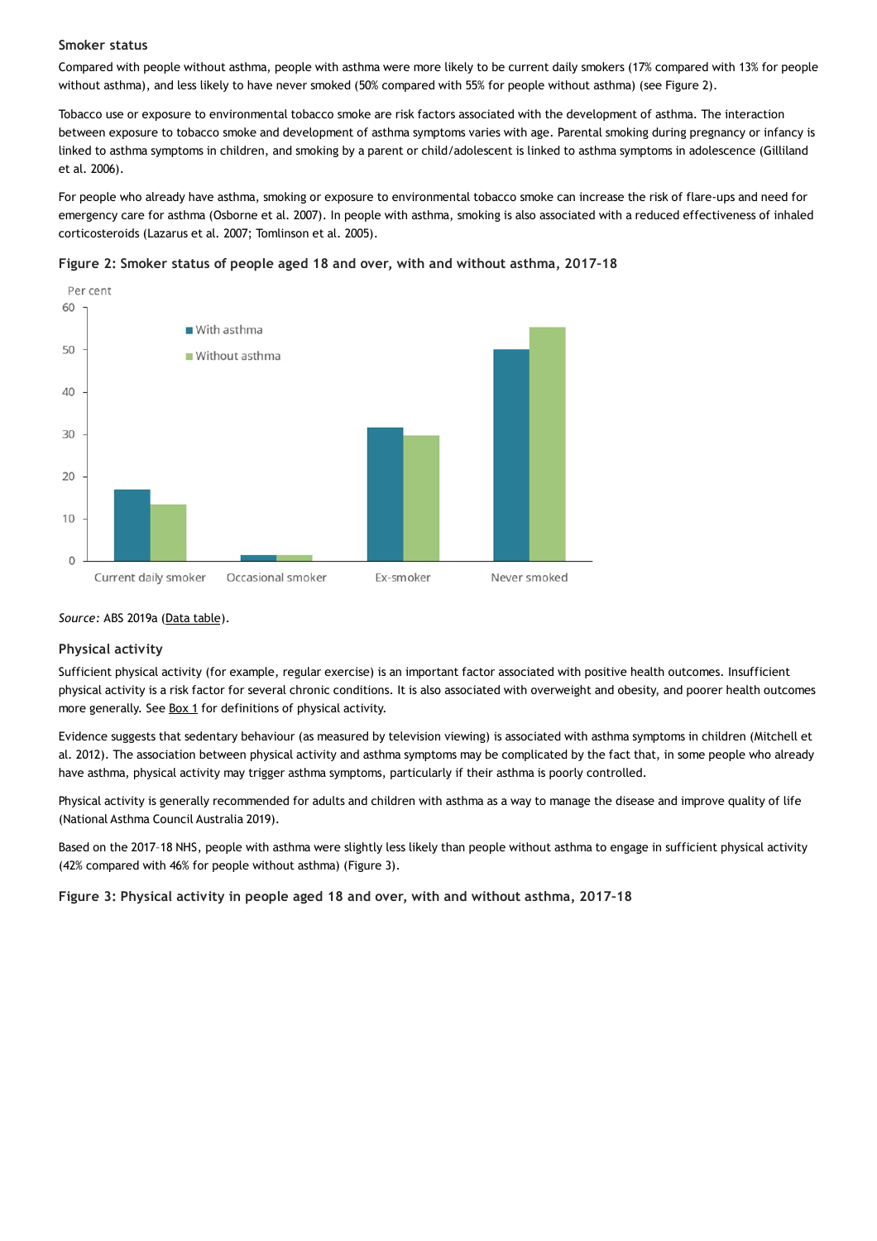#### **Smoker status**

Compared with people without asthma, people with asthma were more likely to be current daily smokers (17% compared with 13% for people without asthma), and less likely to have never smoked (50% compared with 55% for people without asthma) (see Figure 2).

Tobacco use or exposure to environmental tobacco smoke are risk factors associated with the development of asthma. The interaction between exposure to tobacco smoke and development of asthma symptoms varies with age. Parental smoking during pregnancy or infancy is linked to asthma symptoms in children, and smoking by a parent or child/adolescent is linked to asthma symptoms in adolescence (Gilliland et al. 2006).

For people who already have asthma, smoking or exposure to environmental tobacco smoke can increase the risk of flare-ups and need for emergency care for asthma (Osborne et al. 2007). In people with asthma, smoking is also associated with a reduced effectiveness of inhaled corticosteroids (Lazarus et al. 2007; Tomlinson et al. 2005).





#### *Source:* ABS 2019a (Data [table\)](https://www.aihw.gov.au/reports/chronic-respiratory-conditions/asthma-associated-comorbidities-risk-factors/data/).

#### **Physical activity**

Sufficient physical activity (for example, regular exercise) is an important factor associated with positive health outcomes. Insufficient physical activity is a risk factor for several chronic conditions. It is also associated with overweight and obesity, and poorer health outcomes more generally. See [Box](#page-10-0) 1 for definitions of physical activity.

Evidence suggests that sedentary behaviour (as measured by television viewing) is associated with asthma symptoms in children (Mitchell et al. 2012). The association between physical activity and asthma symptoms may be complicated by the fact that, in some people who already have asthma, physical activity may trigger asthma symptoms, particularly if their asthma is poorly controlled.

Physical activity is generally recommended for adults and children with asthma as a way to manage the disease and improve quality of life (National Asthma Council Australia 2019).

Based on the 2017–18 NHS, people with asthma were slightly less likely than people without asthma to engage in sufficient physical activity (42% compared with 46% for people without asthma) (Figure 3).

**Figure 3: Physical activity in people aged 18 and over, with and without asthma, 2017–18**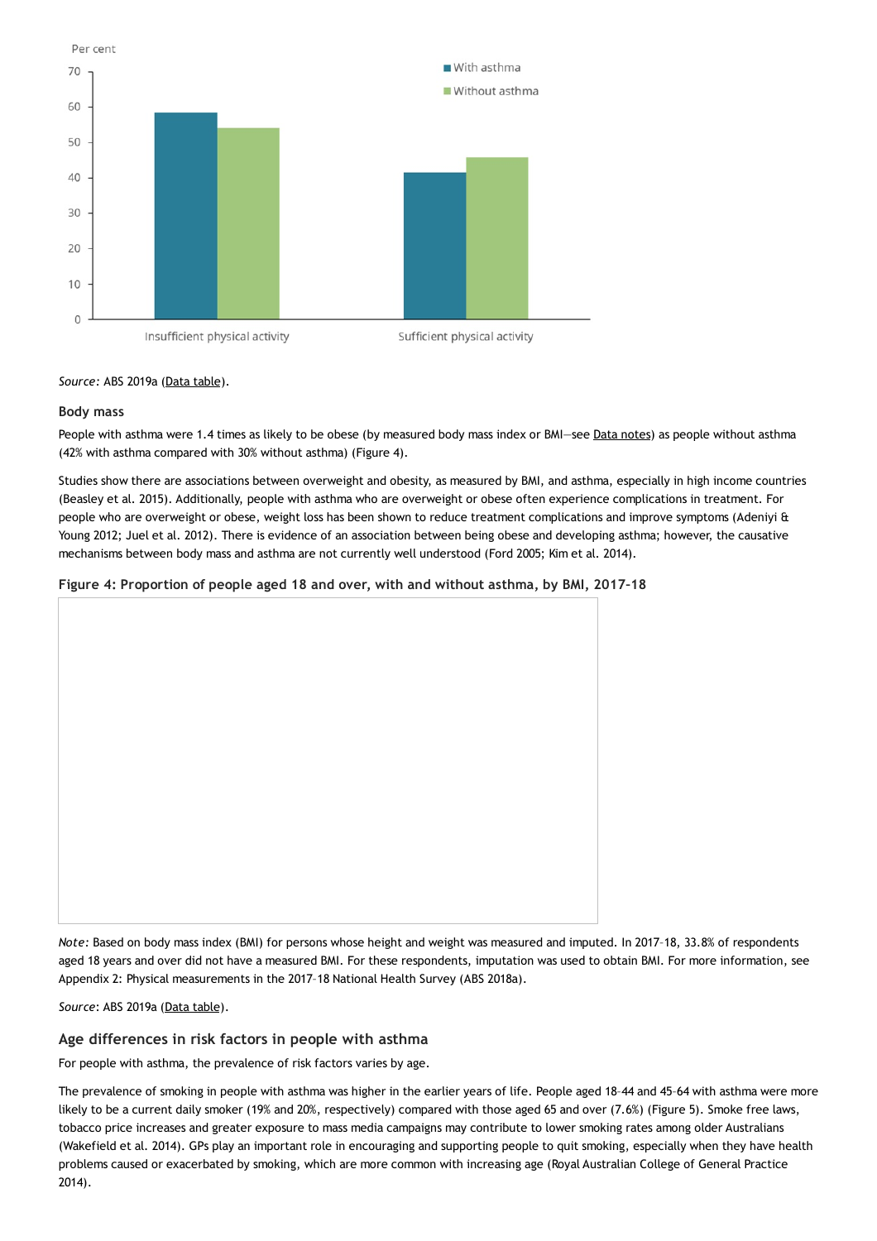

### *Source:* ABS 2019a (Data [table\)](https://www.aihw.gov.au/reports/chronic-respiratory-conditions/asthma-associated-comorbidities-risk-factors/data/).

### **Body mass**

People with asthma were 1.4 times as likely to be obese (by measured body mass index or BMI-see Data [notes](https://www.aihw.gov.au/reports/chronic-respiratory-conditions/asthma-associated-comorbidities-risk-factors/contents/risk-factors-associated-with-asthma/#datanotes)) as people without asthma (42% with asthma compared with 30% without asthma) (Figure 4).

Studies show there are associations between overweight and obesity, as measured by BMI, and asthma, especially in high income countries (Beasley et al. 2015). Additionally, people with asthma who are overweight or obese often experience complications in treatment. For people who are overweight or obese, weight loss has been shown to reduce treatment complications and improve symptoms (Adeniyi & Young 2012; Juel et al. 2012). There is evidence of an association between being obese and developing asthma; however, the causative mechanisms between body mass and asthma are not currently well understood (Ford 2005; Kim et al. 2014).

## **Figure 4: Proportion of people aged 18 and over, with and without asthma, by BMI, 2017–18**

*Note:* Based on body mass index (BMI) for persons whose height and weight was measured and imputed. In 2017–18, 33.8% of respondents aged 18 years and over did not have a measured BMI. For these respondents, imputation was used to obtain BMI. For more information, see Appendix 2: Physical measurements in the 2017–18 National Health Survey (ABS 2018a).

*Source*: ABS 2019a (Data [table](https://www.aihw.gov.au/reports/chronic-respiratory-conditions/asthma-associated-comorbidities-risk-factors/data/)).

## **Age differences in risk factors in people with asthma**

For people with asthma, the prevalence of risk factors varies by age.

The prevalence of smoking in people with asthma was higher in the earlier years of life. People aged 18–44 and 45–64 with asthma were more likely to be a current daily smoker (19% and 20%, respectively) compared with those aged 65 and over (7.6%) (Figure 5). Smoke free laws, tobacco price increases and greater exposure to mass media campaigns may contribute to lower smoking rates among older Australians (Wakefield et al. 2014). GPs play an important role in encouraging and supporting people to quit smoking, especially when they have health problems caused or exacerbated by smoking, which are more common with increasing age (Royal Australian College of General Practice 2014).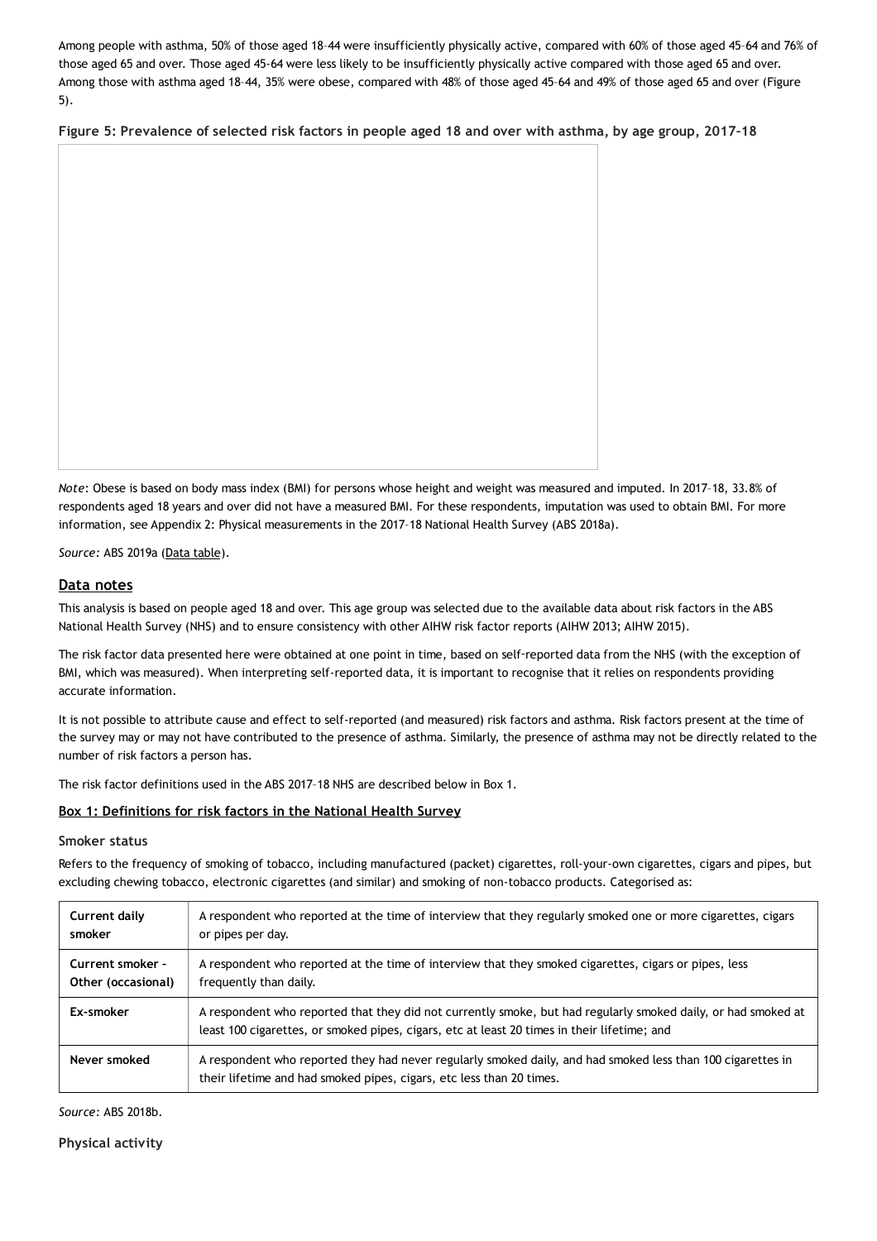Among people with asthma, 50% of those aged 18–44 were insufficiently physically active, compared with 60% of those aged 45–64 and 76% of those aged 65 and over. Those aged 45-64 were less likely to be insufficiently physically active compared with those aged 65 and over. Among those with asthma aged 18–44, 35% were obese, compared with 48% of those aged 45–64 and 49% of those aged 65 and over (Figure 5).

Figure 5: Prevalence of selected risk factors in people aged 18 and over with asthma, by age group, 2017-18

*Note*: Obese is based on body mass index (BMI) for persons whose height and weight was measured and imputed. In 2017–18, 33.8% of respondents aged 18 years and over did not have a measured BMI. For these respondents, imputation was used to obtain BMI. For more information, see Appendix 2: Physical measurements in the 2017–18 National Health Survey (ABS 2018a).

*Source:* ABS 2019a (Data [table\)](https://www.aihw.gov.au/reports/chronic-respiratory-conditions/asthma-associated-comorbidities-risk-factors/data/).

### **Data notes**

This analysis is based on people aged 18 and over. This age group was selected due to the available data about risk factors in the ABS National Health Survey (NHS) and to ensure consistency with other AIHW risk factor reports (AIHW 2013; AIHW 2015).

The risk factor data presented here were obtained at one point in time, based on self‑reported data from the NHS (with the exception of BMI, which was measured). When interpreting self-reported data, it is important to recognise that it relies on respondents providing accurate information.

It is not possible to attribute cause and effect to self-reported (and measured) risk factors and asthma. Risk factors present at the time of the survey may or may not have contributed to the presence of asthma. Similarly, the presence of asthma may not be directly related to the number of risk factors a person has.

The risk factor definitions used in the ABS 2017–18 NHS are described below in Box 1.

### <span id="page-10-0"></span>**Box 1: Definitions for risk factors in the National Health Survey**

#### **Smoker status**

Refers to the frequency of smoking of tobacco, including manufactured (packet) cigarettes, roll-your-own cigarettes, cigars and pipes, but excluding chewing tobacco, electronic cigarettes (and similar) and smoking of non-tobacco products. Categorised as:

| Current daily      | A respondent who reported at the time of interview that they regularly smoked one or more cigarettes, cigars                                                                                                 |
|--------------------|--------------------------------------------------------------------------------------------------------------------------------------------------------------------------------------------------------------|
| smoker             | or pipes per day.                                                                                                                                                                                            |
| Current smoker -   | A respondent who reported at the time of interview that they smoked cigarettes, cigars or pipes, less                                                                                                        |
| Other (occasional) | frequently than daily.                                                                                                                                                                                       |
| Ex-smoker          | A respondent who reported that they did not currently smoke, but had regularly smoked daily, or had smoked at<br>least 100 cigarettes, or smoked pipes, cigars, etc at least 20 times in their lifetime; and |
| Never smoked       | A respondent who reported they had never regularly smoked daily, and had smoked less than 100 cigarettes in<br>their lifetime and had smoked pipes, cigars, etc less than 20 times.                          |

*Source:* ABS 2018b.

**Physical activity**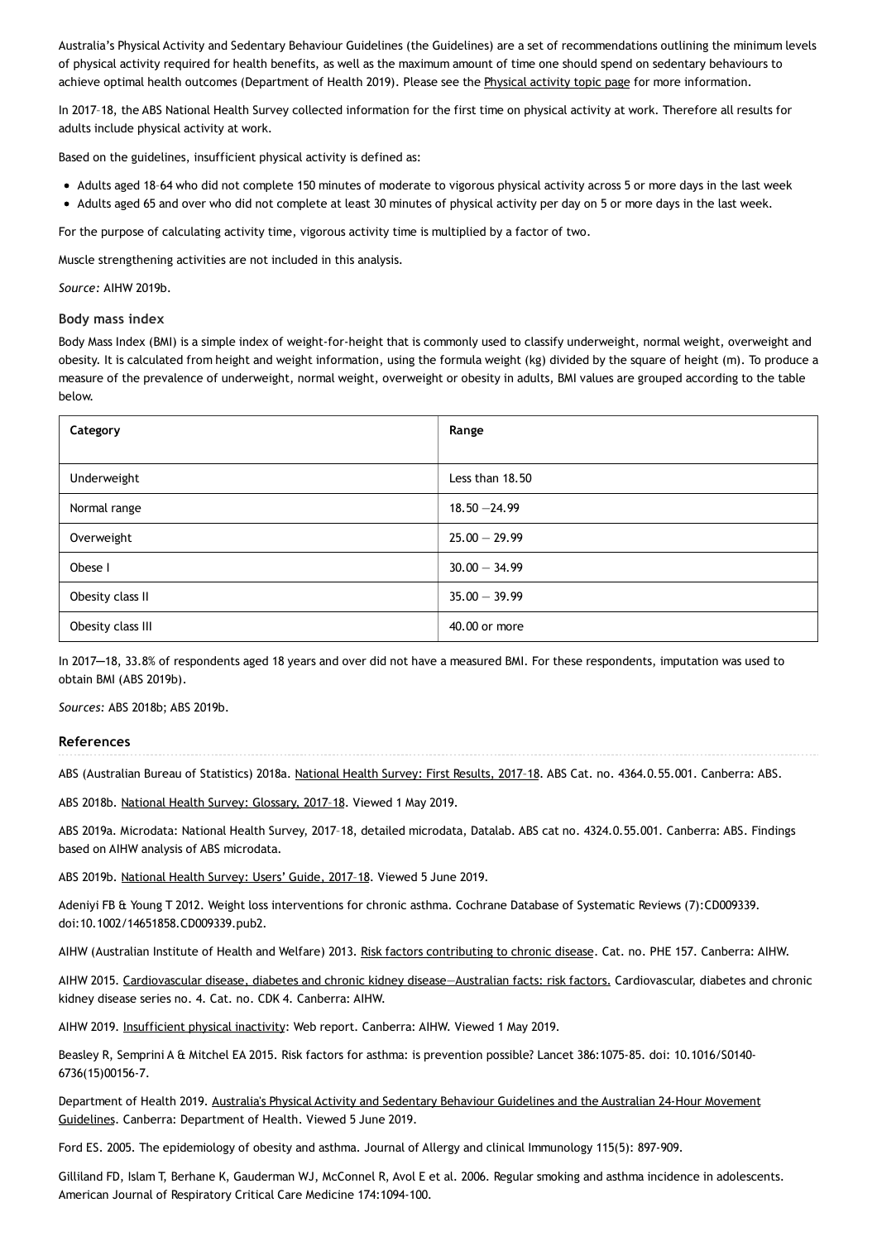Australia's Physical Activity and Sedentary Behaviour Guidelines (the Guidelines) are a set of recommendations outlining the minimum levels of physical activity required for health benefits, as well as the maximum amount of time one should spend on sedentary behaviours to achieve optimal health outcomes (Department of Health 2019). Please see the [Physical](https://www.aihw.gov.au/reports-data/behaviours-risk-factors/physical-activity/about) activity topic page for more information.

In 2017–18, the ABS National Health Survey collected information for the first time on physical activity at work. Therefore all results for adults include physical activity at work.

Based on the guidelines, insufficient physical activity is defined as:

- Adults aged 18–64 who did not complete 150 minutes of moderate to vigorous physical activity across 5 or more days in the last week
- Adults aged 65 and over who did not complete at least 30 minutes of physical activity per day on 5 or more days in the last week.

For the purpose of calculating activity time, vigorous activity time is multiplied by a factor of two.

Muscle strengthening activities are not included in this analysis.

*Source:* AIHW 2019b.

#### **Body mass index**

Body Mass Index (BMI) is a simple index of weight-for-height that is commonly used to classify underweight, normal weight, overweight and obesity. It is calculated from height and weight information, using the formula weight (kg) divided by the square of height (m). To produce a measure of the prevalence of underweight, normal weight, overweight or obesity in adults, BMI values are grouped according to the table below.

| Category          | Range           |
|-------------------|-----------------|
|                   |                 |
| Underweight       | Less than 18.50 |
| Normal range      | $18.50 - 24.99$ |
| Overweight        | $25.00 - 29.99$ |
| Obese I           | $30.00 - 34.99$ |
| Obesity class II  | $35.00 - 39.99$ |
| Obesity class III | 40,00 or more   |

In 2017─18, 33.8% of respondents aged 18 years and over did not have a measured BMI. For these respondents, imputation was used to obtain BMI (ABS 2019b).

*Sources:* ABS 2018b; ABS 2019b.

#### **References**

ABS (Australian Bureau of Statistics) 2018a. [National](https://www.abs.gov.au/ausstats/abs@.nsf/Lookup/by Subject/4364.0.55.001~2017-18~Media Release~How healthy is the typical Australian%3F (Media Release)~1) Health Survey: First Results, 2017-18. ABS Cat. no. 4364.0.55.001. Canberra: ABS.

ABS 2018b. National Health Survey: [Glossary,](https://www.abs.gov.au/AUSSTATS/abs@.nsf/Latestproducts/4364.0.55.001Glossary32017-18?opendocument&tabname=Notes&prodno=4364.0.55.001&issue=2017-18&num=&view=) 2017–18. Viewed 1 May 2019.

ABS 2019a. Microdata: National Health Survey, 2017–18, detailed microdata, Datalab. ABS cat no. 4324.0.55.001. Canberra: ABS. Findings based on AIHW analysis of ABS microdata.

ABS 2019b. [National](https://www.abs.gov.au/ausstats/abs@.nsf/PrimaryMainFeatures/4363.0?OpenDocument) Health Survey: Users' Guide, 2017–18. Viewed 5 June 2019.

Adeniyi FB & Young T 2012. Weight loss interventions for chronic asthma. Cochrane Database of Systematic Reviews (7):CD009339. doi:10.1002/14651858.CD009339.pub2.

AIHW (Australian Institute of Health and Welfare) 2013. Risk factors [contributing](https://www.aihw.gov.au/reports/chronic-disease/risk-factors-contributing-to-chronic-disease/) to chronic disease. Cat. no. PHE 157. Canberra: AIHW.

AIHW 2015. Cardiovascular disease, diabetes and chronic kidney disease-Australian facts: risk factors. Cardiovascular, diabetes and chronic kidney disease series no. 4. Cat. no. CDK 4. Canberra: AIHW.

AIHW 2019. [Insufficient](https://www.aihw.gov.au/reports/risk-factors/risk-factors-to-health/) physical inactivity: Web report. Canberra: AIHW. Viewed 1 May 2019.

Beasley R, Semprini A & Mitchel EA 2015. Risk factors for asthma: is prevention possible? Lancet 386:1075-85. doi: 10.1016/S0140- 6736(15)00156-7.

Department of Health 2019. Australia's Physical Activity and Sedentary Behaviour Guidelines and the Australian 24-Hour Movement Guidelines. Canberra: [Department](https://www.health.gov.au/internet/main/publishing.nsf/Content/health-pubhlth-strateg-phys-act-guidelines) of Health. Viewed 5 June 2019.

Ford ES. 2005. The epidemiology of obesity and asthma. Journal of Allergy and clinical Immunology 115(5): 897-909.

Gilliland FD, Islam T, Berhane K, Gauderman WJ, McConnel R, Avol E et al. 2006. Regular smoking and asthma incidence in adolescents. American Journal of Respiratory Critical Care Medicine 174:1094-100.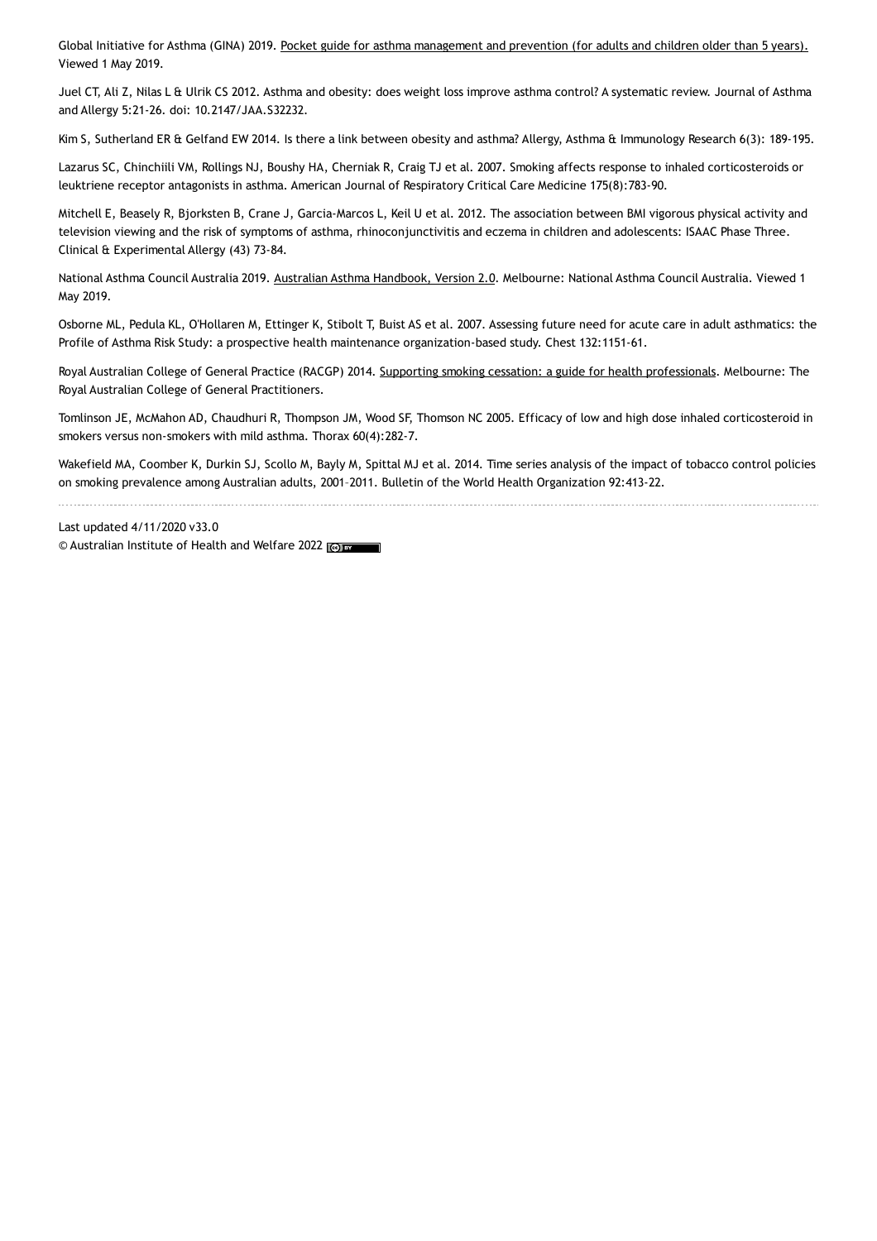Global Initiative for Asthma (GINA) 2019. Pocket guide for asthma [management](https://ginasthma.org/wp-content/uploads/2016/01/GINA_Pocket_2015.pdf) and prevention (for adults and children older than 5 years). Viewed 1 May 2019.

Juel CT, Ali Z, Nilas L & Ulrik CS 2012. Asthma and obesity: does weight loss improve asthma control? A systematic review. Journal of Asthma and Allergy 5:21-26. doi: 10.2147/JAA.S32232.

Kim S, Sutherland ER & Gelfand EW 2014. Is there a link between obesity and asthma? Allergy, Asthma & Immunology Research 6(3): 189-195.

Lazarus SC, Chinchiili VM, Rollings NJ, Boushy HA, Cherniak R, Craig TJ et al. 2007. Smoking affects response to inhaled corticosteroids or leuktriene receptor antagonists in asthma. American Journal of Respiratory Critical Care Medicine 175(8):783-90.

Mitchell E, Beasely R, Bjorksten B, Crane J, Garcia-Marcos L, Keil U et al. 2012. The association between BMI vigorous physical activity and television viewing and the risk of symptoms of asthma, rhinoconjunctivitis and eczema in children and adolescents: ISAAC Phase Three. Clinical & Experimental Allergy (43) 73-84.

National Asthma Council Australia 2019. Australian Asthma [Handbook,](https://www.asthmahandbook.org.au) Version 2.0. Melbourne: National Asthma Council Australia. Viewed 1 May 2019.

Osborne ML, Pedula KL, O'Hollaren M, Ettinger K, Stibolt T, Buist AS et al. 2007. Assessing future need for acute care in adult asthmatics: the Profile of Asthma Risk Study: a prospective health maintenance organization-based study. Chest 132:1151-61.

Royal Australian College of General Practice (RACGP) 2014. Supporting smoking cessation: a guide for health [professionals.](https://www.racgp.org.au/clinical-resources/clinical-guidelines/key-racgp-guidelines/view-all-racgp-guidelines/supporting-smoking-cessation) Melbourne: The Royal Australian College of General Practitioners.

Tomlinson JE, McMahon AD, Chaudhuri R, Thompson JM, Wood SF, Thomson NC 2005. Efficacy of low and high dose inhaled corticosteroid in smokers versus non-smokers with mild asthma. Thorax 60(4):282-7.

Wakefield MA, Coomber K, Durkin SJ, Scollo M, Bayly M, Spittal MJ et al. 2014. Time series analysis of the impact of tobacco control policies on smoking prevalence among Australian adults, 2001–2011. Bulletin of the World Health Organization 92:413-22.

Last updated 4/11/2020 v33.0 © Australian Institute of Health and Welfare 2022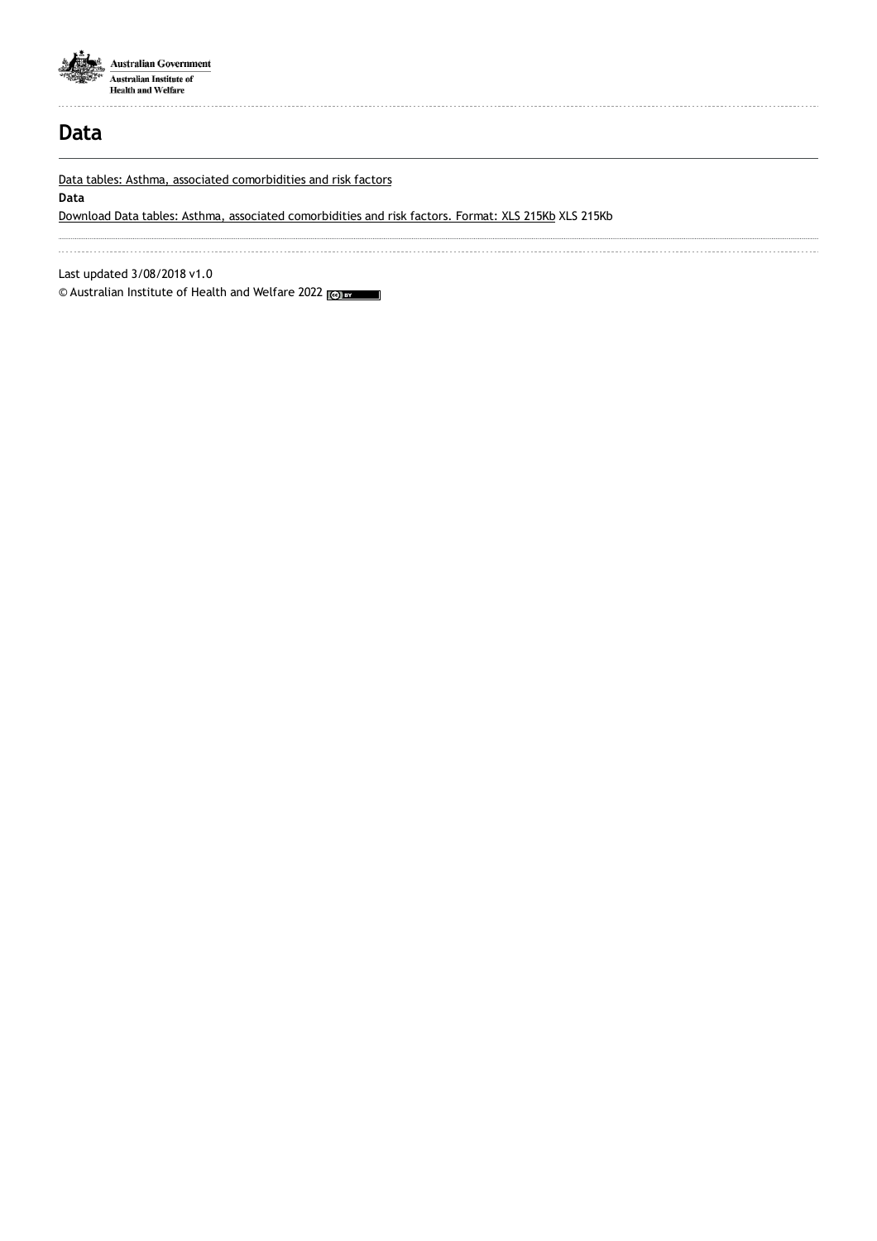

# **Data**

Data tables: Asthma, associated [comorbidities](https://www.aihw.gov.au/getmedia/8bdb91d4-536e-4b8e-b454-be721c257d14/Asthma-comorbidities-2020.xls.aspx) and risk factors

**Data**

Download Data tables: Asthma, associated [comorbidities](https://www.aihw.gov.au/getmedia/8bdb91d4-536e-4b8e-b454-be721c257d14/Asthma-comorbidities-2020.xls.aspx) and risk factors. Format: XLS 215Kb XLS 215Kb

Last updated 3/08/2018 v1.0

© Australian Institute of Health and Welfare 2022 (@) BY